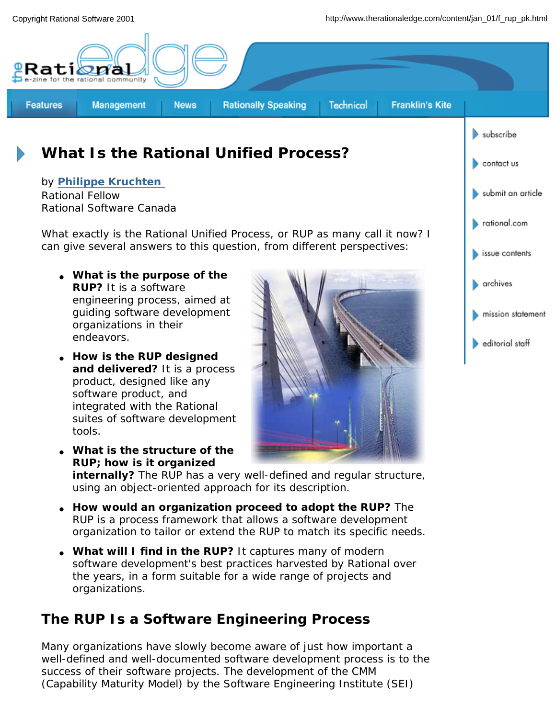

● *How is the RUP designed and delivered? It is a process product, designed like any software product, and integrated with the Rational suites of software development tools.*

*endeavors.*

● *What is the structure of the RUP; how is it organized* 



editorial staff

*internally? The RUP has a very well-defined and regular structure, using an object-oriented approach for its description.*

- *How would an organization proceed to adopt the RUP? The RUP is a process framework that allows a software development organization to tailor or extend the RUP to match its specific needs.*
- What will I find in the RUP? It captures many of modern *software development's best practices harvested by Rational over the years, in a form suitable for a wide range of projects and organizations.*

### **The RUP Is a Software Engineering Process**

Many organizations have slowly become aware of just how important a well-defined and well-documented software development process is to the success of their software projects. The development of the CMM (Capability Maturity Model) by the Software Engineering Institute (SEI)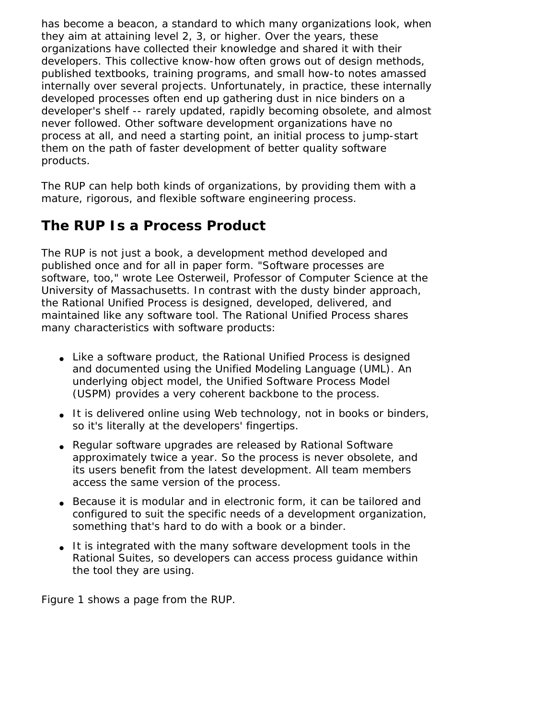has become a beacon, a standard to which many organizations look, when they aim at attaining level 2, 3, or higher. Over the years, these organizations have collected their knowledge and shared it with their developers. This collective know-how often grows out of design methods, published textbooks, training programs, and small how-to notes amassed internally over several projects. Unfortunately, in practice, these internally developed processes often end up gathering dust in nice binders on a developer's shelf -- rarely updated, rapidly becoming obsolete, and almost never followed. Other software development organizations have no process at all, and need a starting point, an initial process to jump-start them on the path of faster development of better quality software products.

The RUP can help both kinds of organizations, by providing them with a mature, rigorous, and flexible software engineering process.

### **The RUP Is a Process Product**

The RUP is not just a book, a development method developed and published once and for all in paper form. "Software processes are software, too," wrote Lee Osterweil, Professor of Computer Science at the University of Massachusetts. In contrast with the dusty binder approach, the Rational Unified Process is designed, developed, delivered, and maintained like any software tool. The Rational Unified Process shares many characteristics with software products:

- Like a software product, the Rational Unified Process is designed and documented using the Unified Modeling Language (UML). An underlying object model, the Unified Software Process Model (USPM) provides a very coherent backbone to the process.
- It is delivered online using Web technology, not in books or binders, so it's literally at the developers' fingertips.
- Regular software upgrades are released by Rational Software approximately twice a year. So the process is never obsolete, and its users benefit from the latest development. All team members access the same version of the process.
- Because it is modular and in electronic form, it can be tailored and configured to suit the specific needs of a development organization, something that's hard to do with a book or a binder.
- It is integrated with the many software development tools in the Rational Suites, so developers can access process guidance within the tool they are using.

Figure 1 shows a page from the RUP.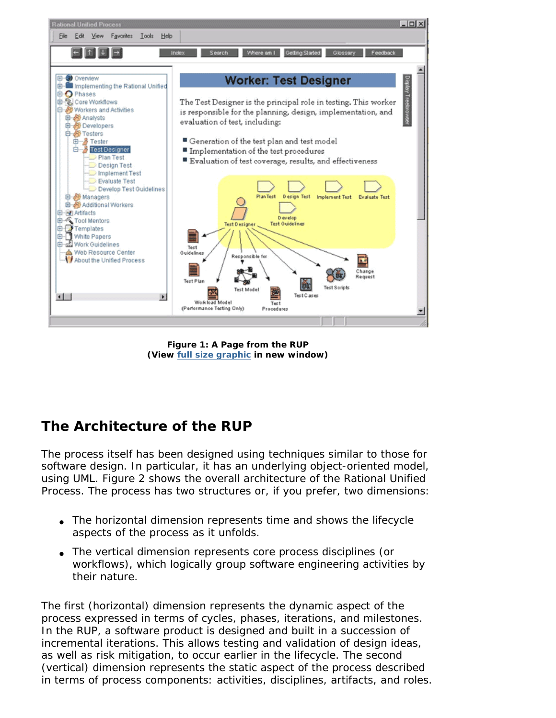

**Figure 1: A Page from the RUP (View full size graphic in new window)**

# **The Architecture of the RUP**

The process itself has been designed using techniques similar to those for software design. In particular, it has an underlying object-oriented model, using UML. Figure 2 shows the overall architecture of the Rational Unified Process. The process has two structures or, if you prefer, two dimensions:

- The horizontal dimension represents time and shows the lifecycle aspects of the process as it unfolds.
- The vertical dimension represents core process disciplines (or workflows), which logically group software engineering activities by their nature.

The first (horizontal) dimension represents the *dynamic aspect* of the process expressed in terms of cycles, phases, iterations, and milestones. In the RUP, a software product is designed and built in a succession of incremental iterations. This allows testing and validation of design ideas, as well as risk mitigation, to occur earlier in the lifecycle. The second (vertical) dimension represents the *static aspect* of the process described in terms of process components: activities, disciplines, artifacts, and roles.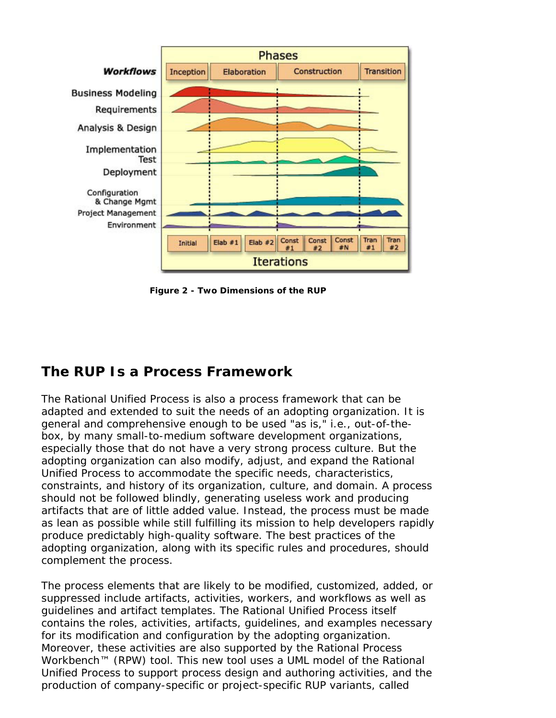

**Figure 2 - Two Dimensions of the RUP**

### **The RUP Is a Process Framework**

The Rational Unified Process is also a *process framework* that can be adapted and extended to suit the needs of an adopting organization. It is general and comprehensive enough to be used "as is," i.e., out-of-thebox, by many small-to-medium software development organizations, especially those that do not have a very strong process culture. But the adopting organization can also modify, adjust, and expand the Rational Unified Process to accommodate the specific needs, characteristics, constraints, and history of its organization, culture, and domain. A process should not be followed blindly, generating useless work and producing artifacts that are of little added value. Instead, the process must be made as lean as possible while still fulfilling its mission to help developers rapidly produce predictably high-quality software. The best practices of the adopting organization, along with its specific rules and procedures, should complement the process.

The process elements that are likely to be modified, customized, added, or suppressed include artifacts, activities, workers, and workflows as well as guidelines and artifact templates. The Rational Unified Process itself contains the roles, activities, artifacts, guidelines, and examples necessary for its modification and configuration by the adopting organization. Moreover, these activities are also supported by the Rational Process Workbench™ (RPW) tool. This new tool uses a UML model of the Rational Unified Process to support process design and authoring activities, and the production of company-specific or project-specific RUP variants, called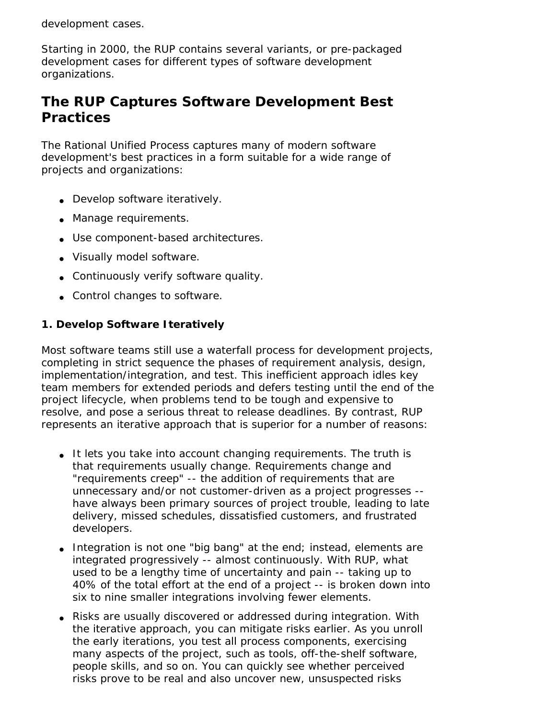#### *development cases*.

Starting in 2000, the RUP contains several *variants*, or pre-packaged development cases for different types of software development organizations.

### **The RUP Captures Software Development Best Practices**

The Rational Unified Process captures many of modern software development's *best practices* in a form suitable for a wide range of projects and organizations:

- Develop software iteratively.
- Manage requirements.
- Use component-based architectures.
- Visually model software.
- Continuously verify software quality.
- Control changes to software.

#### **1. Develop Software Iteratively**

Most software teams still use a *waterfall* process for development projects, completing in strict sequence the phases of requirement analysis, design, implementation/integration, and test. This inefficient approach idles key team members for extended periods and defers testing until the end of the project lifecycle, when problems tend to be tough and expensive to resolve, and pose a serious threat to release deadlines. By contrast, RUP represents an iterative approach that is superior for a number of reasons:

- It lets you take into account changing requirements. The truth is that requirements usually change. Requirements change and "requirements creep" -- the addition of requirements that are unnecessary and/or not customer-driven as a project progresses - have always been primary sources of project trouble, leading to late delivery, missed schedules, dissatisfied customers, and frustrated developers.
- Integration is not one "big bang" at the end; instead, elements are integrated progressively -- almost continuously. With RUP, what used to be a lengthy time of uncertainty and pain -- taking up to 40% of the total effort at the end of a project -- is broken down into six to nine smaller integrations involving fewer elements.
- Risks are usually discovered or addressed during integration. With the iterative approach, you can mitigate risks earlier. As you unroll the early iterations, you test all process components, exercising many aspects of the project, such as tools, off-the-shelf software, people skills, and so on. You can quickly see whether perceived risks prove to be real and also uncover new, unsuspected risks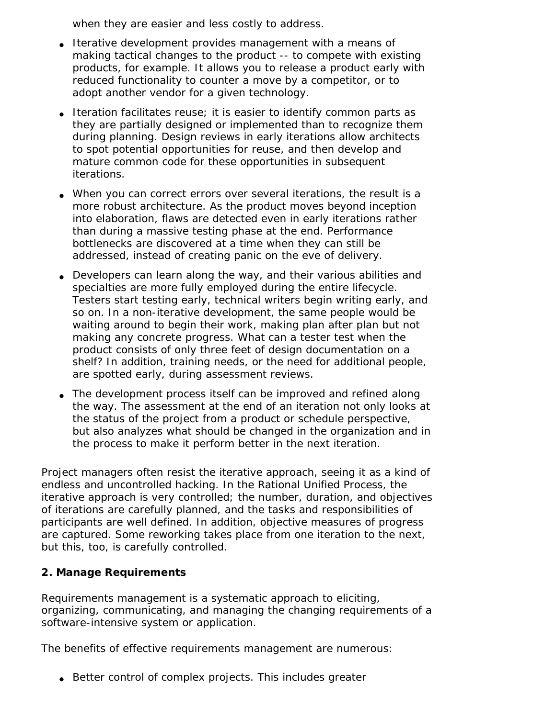when they are easier and less costly to address.

- Iterative development provides management with a means of making tactical changes to the product -- to compete with existing products, for example. It allows you to release a product early with reduced functionality to counter a move by a competitor, or to adopt another vendor for a given technology.
- Iteration facilitates reuse; it is easier to identify common parts as they are partially designed or implemented than to recognize them during planning. Design reviews in early iterations allow architects to spot potential opportunities for reuse, and then develop and mature common code for these opportunities in subsequent iterations.
- When you can correct errors over several iterations, the result is a more robust architecture. As the product moves beyond inception into elaboration, flaws are detected even in early iterations rather than during a massive testing phase at the end. Performance bottlenecks are discovered at a time when they can still be addressed, instead of creating panic on the eve of delivery.
- Developers can learn along the way, and their various abilities and specialties are more fully employed during the entire lifecycle. Testers start testing early, technical writers begin writing early, and so on. In a non-iterative development, the same people would be waiting around to begin their work, making plan after plan but not making any concrete progress. What can a tester test when the product consists of only three feet of design documentation on a shelf? In addition, training needs, or the need for additional people, are spotted early, during assessment reviews.
- The development process itself can be improved and refined along the way. The assessment at the end of an iteration not only looks at the status of the project from a product or schedule perspective, but also analyzes what should be changed in the organization and in the process to make it perform better in the next iteration.

Project managers often resist the iterative approach, seeing it as a kind of endless and uncontrolled hacking. In the Rational Unified Process, the iterative approach is very controlled; the number, duration, and objectives of iterations are carefully planned, and the tasks and responsibilities of participants are well defined. In addition, objective measures of progress are captured. Some reworking takes place from one iteration to the next, but this, too, is carefully controlled.

#### **2. Manage Requirements**

Requirements management is a systematic approach to eliciting, organizing, communicating, and managing the changing requirements of a software-intensive system or application.

The benefits of effective requirements management are numerous:

• Better control of complex projects. This includes greater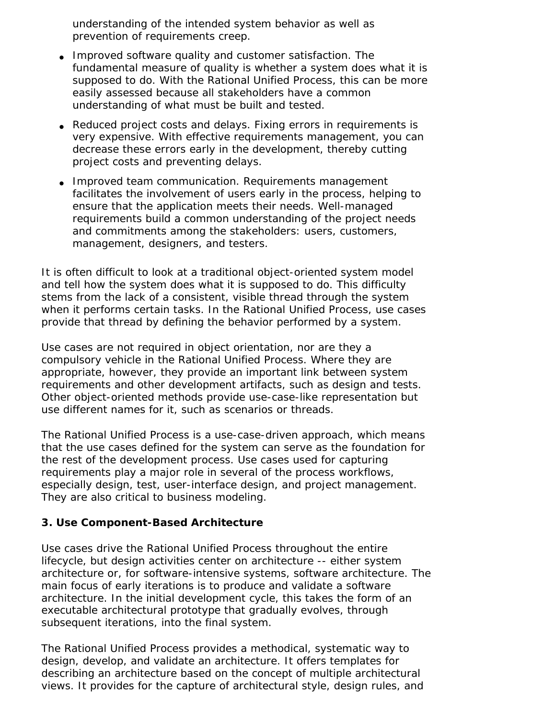understanding of the intended system behavior as well as prevention of requirements creep.

- Improved software quality and customer satisfaction. The fundamental measure of quality is whether a system does what it is supposed to do. With the Rational Unified Process, this can be more easily assessed because all stakeholders have a common understanding of what must be built and tested.
- Reduced project costs and delays. Fixing errors in requirements is very expensive. With effective requirements management, you can decrease these errors early in the development, thereby cutting project costs and preventing delays.
- Improved team communication. Requirements management facilitates the involvement of users early in the process, helping to ensure that the application meets their needs. Well-managed requirements build a common understanding of the project needs and commitments among the stakeholders: users, customers, management, designers, and testers.

It is often difficult to look at a traditional object-oriented system model and tell how the system does what it is supposed to do. This difficulty stems from the lack of a consistent, visible thread through the system when it performs certain tasks. In the Rational Unified Process, *use cases* provide that thread by defining the behavior performed by a system.

Use cases are not required in object orientation, nor are they a compulsory vehicle in the Rational Unified Process. Where they are appropriate, however, they provide an important link between system requirements and other development artifacts, such as design and tests. Other object-oriented methods provide use-case-like representation but use different names for it, such as scenarios or threads.

The Rational Unified Process is a use-case-driven approach, which means that the use cases defined for the system can serve as the foundation for the rest of the development process. Use cases used for capturing requirements play a major role in several of the process workflows, especially design, test, user-interface design, and project management. They are also critical to business modeling.

#### **3. Use Component-Based Architecture**

Use cases drive the Rational Unified Process throughout the entire lifecycle, but design activities center on architecture -- either system architecture or, for software-intensive systems, software architecture. The main focus of early iterations is to produce and validate a software architecture. In the initial development cycle, this takes the form of an executable architectural prototype that gradually evolves, through subsequent iterations, into the final system.

The Rational Unified Process provides a methodical, systematic way to design, develop, and validate an architecture. It offers templates for describing an architecture based on the concept of multiple architectural views. It provides for the capture of architectural style, design rules, and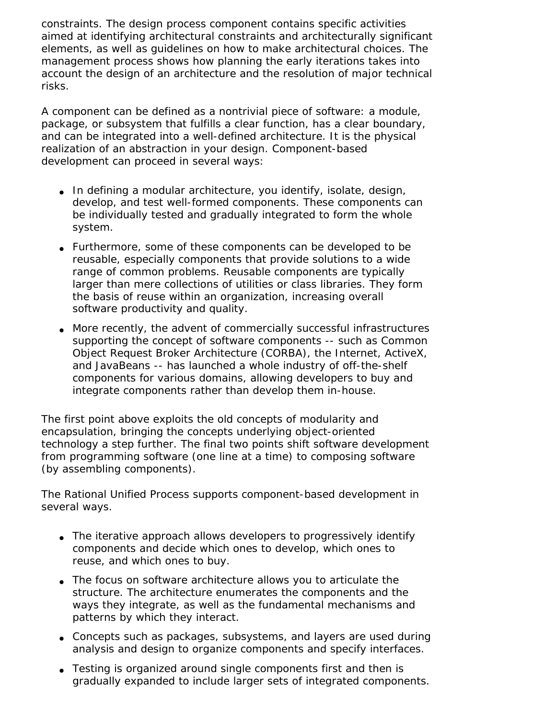constraints. The design process component contains specific activities aimed at identifying architectural constraints and architecturally significant elements, as well as guidelines on how to make architectural choices. The management process shows how planning the early iterations takes into account the design of an architecture and the resolution of major technical risks.

A *component* can be defined as a nontrivial piece of software: a module, package, or subsystem that fulfills a clear function, has a clear boundary, and can be integrated into a well-defined architecture. It is the physical realization of an abstraction in your design. Component-based development can proceed in several ways:

- $\bullet$  In defining a modular architecture, you identify, isolate, design, develop, and test well-formed components. These components can be individually tested and gradually integrated to form the whole system.
- Furthermore, some of these components can be developed to be reusable, especially components that provide solutions to a wide range of common problems. Reusable components are typically larger than mere collections of utilities or class libraries. They form the basis of reuse within an organization, increasing overall software productivity and quality.
- More recently, the advent of commercially successful infrastructures supporting the concept of software components -- such as Common Object Request Broker Architecture (CORBA), the Internet, ActiveX, and JavaBeans -- has launched a whole industry of off-the-shelf components for various domains, allowing developers to buy and integrate components rather than develop them in-house.

The first point above exploits the old concepts of modularity and encapsulation, bringing the concepts underlying object-oriented technology a step further. The final two points shift software development from programming software (one line at a time) to composing software (by assembling components).

The Rational Unified Process supports component-based development in several ways.

- The iterative approach allows developers to progressively identify components and decide which ones to develop, which ones to reuse, and which ones to buy.
- The focus on software architecture allows you to articulate the structure. The architecture enumerates the components and the ways they integrate, as well as the fundamental mechanisms and patterns by which they interact.
- Concepts such as packages, subsystems, and layers are used during analysis and design to organize components and specify interfaces.
- Testing is organized around single components first and then is gradually expanded to include larger sets of integrated components.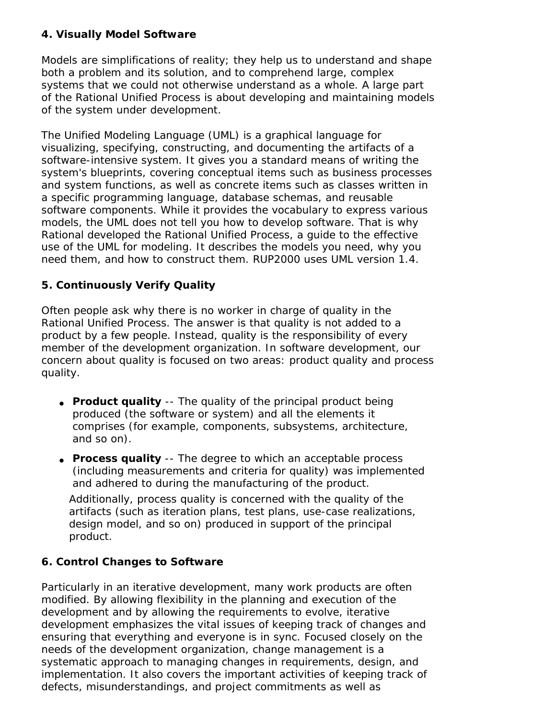#### **4. Visually Model Software**

Models are simplifications of reality; they help us to understand and shape both a problem and its solution, and to comprehend large, complex systems that we could not otherwise understand as a whole. A large part of the Rational Unified Process is about developing and maintaining models of the system under development.

The Unified Modeling Language (UML) is a graphical language for visualizing, specifying, constructing, and documenting the artifacts of a software-intensive system. It gives you a standard means of writing the system's blueprints, covering conceptual items such as business processes and system functions, as well as concrete items such as classes written in a specific programming language, database schemas, and reusable software components. While it provides the vocabulary to express various models, the UML does not tell you how to develop software. That is why Rational developed the Rational Unified Process, a guide to the effective use of the UML for modeling. It describes the models you need, why you need them, and how to construct them. RUP2000 uses UML version 1.4.

### **5. Continuously Verify Quality**

Often people ask why there is no worker in charge of quality in the Rational Unified Process. The answer is that quality is not added to a product by a few people. Instead, quality is the responsibility of every member of the development organization. In software development, our concern about quality is focused on two areas: product quality and process quality.

- **Product quality** -- The quality of the principal product being produced (the software or system) and all the elements it comprises (for example, components, subsystems, architecture, and so on).
- **Process quality** -- The degree to which an acceptable process (including measurements and criteria for quality) was implemented and adhered to during the manufacturing of the product.

Additionally, process quality is concerned with the quality of the artifacts (such as iteration plans, test plans, use-case realizations, design model, and so on) produced in support of the principal product.

### **6. Control Changes to Software**

Particularly in an iterative development, many work products are often modified. By allowing flexibility in the planning and execution of the development and by allowing the requirements to evolve, iterative development emphasizes the vital issues of keeping track of changes and ensuring that everything and everyone is in sync. Focused closely on the needs of the development organization, change management is a systematic approach to managing changes in requirements, design, and implementation. It also covers the important activities of keeping track of defects, misunderstandings, and project commitments as well as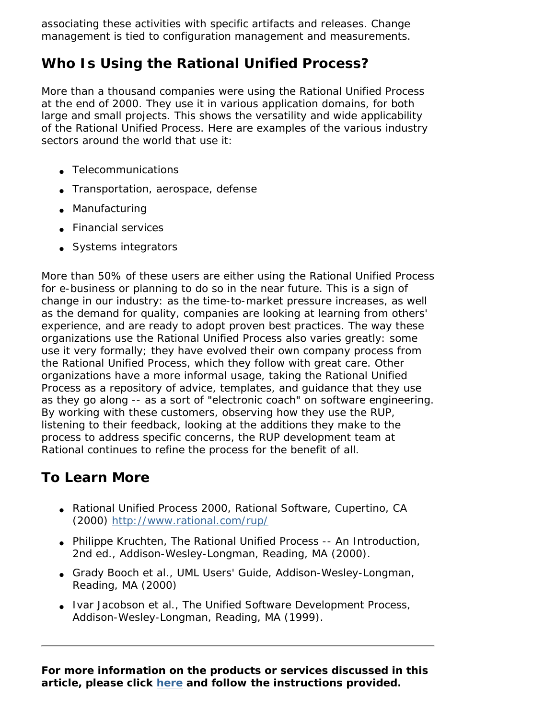associating these activities with specific artifacts and releases. Change management is tied to configuration management and measurements.

# **Who Is Using the Rational Unified Process?**

More than a thousand companies were using the Rational Unified Process at the end of 2000. They use it in various application domains, for both large and small projects. This shows the versatility and wide applicability of the Rational Unified Process. Here are examples of the various industry sectors around the world that use it:

- Telecommunications
- Transportation, aerospace, defense
- Manufacturing
- Financial services
- Systems integrators

More than 50% of these users are either using the Rational Unified Process for e-business or planning to do so in the near future. This is a sign of change in our industry: as the time-to-market pressure increases, as well as the demand for quality, companies are looking at learning from others' experience, and are ready to adopt proven best practices. The way these organizations use the Rational Unified Process also varies greatly: some use it very formally; they have evolved their own company process from the Rational Unified Process, which they follow with great care. Other organizations have a more informal usage, taking the Rational Unified Process as a repository of advice, templates, and guidance that they use as they go along -- as a sort of "electronic coach" on software engineering. By working with these customers, observing how they use the RUP, listening to their feedback, looking at the additions they make to the process to address specific concerns, the RUP development team at Rational continues to refine the process for the benefit of all.

# **To Learn More**

- *Rational Unified Process 2000*, Rational Software, Cupertino, CA (2000) http://www.rational.com/rup/
- Philippe Kruchten, *The Rational Unified Process -- An Introduction*, 2nd ed., Addison-Wesley-Longman, Reading, MA (2000).
- Grady Booch *et al.*, UML Users' Guide, Addison-Wesley-Longman, Reading, MA (2000)
- Ivar Jacobson et al., *The Unified Software Development Process*, Addison-Wesley-Longman, Reading, MA (1999).